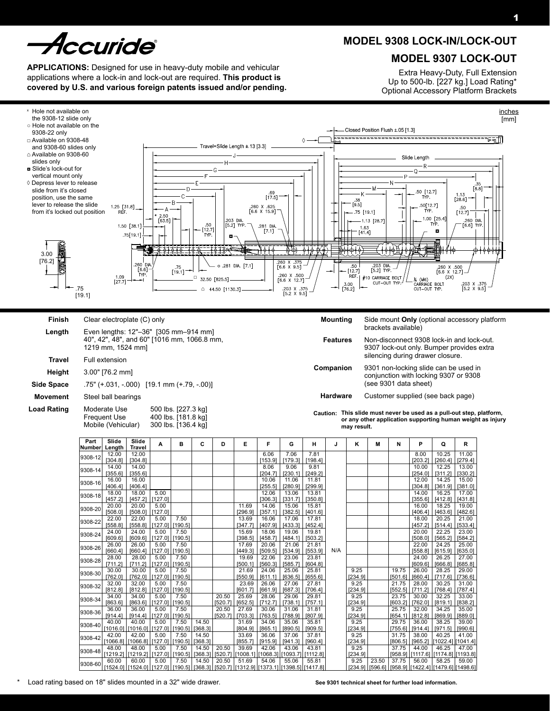# *curide*

**Applications:** Designed for use in heavy-duty mobile and vehicular applications where a lock-in and lock-out are required. **This product is covered by U.S. and various foreign patents issued and/or pending.**

## **MODEL 9308 Lock-In/Lock-Out**

### **MODEL 9307 Lock-Out**

Extra Heavy-Duty, Full Extension Up to 500-lb. [227 kg.] Load Rating\* Optional Accessory Platform Brackets



| 9308-14 | 14.00    | 14.00                        |         |         |         |         |         | 8.06                       | 9.06                                                | 9.81     |     |
|---------|----------|------------------------------|---------|---------|---------|---------|---------|----------------------------|-----------------------------------------------------|----------|-----|
|         | [355.6]  | [355.6]                      |         |         |         |         |         | [204.7]                    | [230.1]                                             | [249.2]  |     |
| 9308-16 | 16.00    | 16.00                        |         |         |         |         |         | 10.06                      | 11.06                                               | 11.81    |     |
|         | [406.4]  | [406.4]                      |         |         |         |         |         | [255.5]                    | [280.9]                                             | [299.9]  |     |
| 9308-18 | 18.00    | 18.00                        | 5.00    |         |         |         |         | 12.06                      | 13.06                                               | 13.81    |     |
|         | [457.2]  | [457.2]                      | [127.0] |         |         |         |         | [306.3]                    | [331.7]                                             | [350.8]  |     |
| 9308-20 | 20.00    | 20.00                        | 5.00    |         |         |         | 11.69   | 14.06                      | 15.06                                               | 15.81    |     |
|         | [508.0]  | [508.0]                      | [127.0] |         |         |         | [296.9] | [357.1]                    | [382.5]                                             | [401.6]  |     |
| 9308-22 | 22.00    | 22.00                        | 5.00    | 7.50    |         |         | 13.69   | 16.06                      | 17.06                                               | 17.81    |     |
|         | [558.8]  | [558.8]                      | [127.0] | [190.5] |         |         | [347.7] | [407.9]                    | [433.3]                                             | [452.4]  |     |
| 9308-24 | 24.00    | 24.00                        | 5.00    | 7.50    |         |         | 15.69   | 18.06                      | 19.06                                               | 19.81    |     |
|         | [609.6]  | [609.6]                      | [127.0] | [190.5] |         |         | [398.5] | [458.7]                    | [484.1]                                             | [503.2]  |     |
| 9308-26 | 26.00    | 26.00                        | 5.00    | 7.50    |         |         | 17.69   | 20.06                      | 21.06                                               | 21.81    |     |
|         | [660.4]  | [660.4]                      | [127.0] | [190.5] |         |         | [449.3] | [509.5]                    | [534.9]                                             | [553.9]  | N/A |
| 9308-28 | 28.00    | 28.00                        | 5.00    | 7.50    |         |         | 19.69   | 22.06                      | 23.06                                               | 23.81    |     |
|         | [711.2]  | [711.2]                      | [127.0] | [190.5] |         |         | [500.1] | [560.3]                    | [585.7]                                             | [604.8]  |     |
| 9308-30 | 30.00    | 30.00                        | 5.00    | 7.50    |         |         | 21.69   | 24.06                      | 25.06                                               | 25.81    |     |
|         | [762.0]  | [762.0]                      | [127.0] | [190.5] |         |         | [550.9] | [611.1]                    | [636.5]                                             | [655.6]  |     |
| 9308-32 | 32.00    | 32.00                        | 5.00    | 7.50    |         |         | 23.69   | 26.06                      | 27.06                                               | 27.81    |     |
|         | [812.8]  | [812.8]                      | [127.0] | [190.5] |         |         | [601.7] | [661.9]                    | [687.3]                                             | [706.4]  |     |
| 9308-34 | 34.00    | 34.00                        | 5.00    | 7.50    |         | 20.50   | 25.69   | 28.06                      | 29.06                                               | 29.81    |     |
|         | [863.6]  | [863.6]                      | [127.0] | [190.5] |         | [520.7] | [652.5] | [712.7]                    | [738.1]                                             | [757.1]  |     |
| 9308-36 | 36.00    | 36.00                        | 5.00    | 7.50    |         | 20.50   | 27.69   | 30.06                      | 31.06                                               | 31.81    |     |
|         | [914.4]  | [914.4]                      | [127.0] | [190.5] |         | [520.7] | [703.3] | [763.5]                    | [788.9]                                             | [807.9]  |     |
| 9308-40 | 40.00    | 40.00                        | 5.00    | 7.50    | 14.50   |         | 31.69   | 34.06                      | 35.06                                               | 35.81    |     |
|         | [1016.0] | [1016.0]                     | [127.0] | [190.5] | [368.3] |         | [804.9] | [865.1]                    | [890.5]                                             | [909.5]  |     |
| 9308-42 | 42.00    | 42.00                        | 5.00    | 7.50    | 14.50   |         | 33.69   | 36.06                      | 37.06                                               | 37.81    |     |
|         | [1066.8] | [1066.8]                     | [127.0] | [190.5] | [368.3] |         | [855.7] | [915.9]                    | [941.3]                                             | [960.4]  |     |
| 9308-48 | 48.00    | 48.00                        | 5.00    | 7.50    | 14.50   | 20.50   | 39.69   | 42.06                      | 43.06                                               | 43.81    |     |
|         | [1219.2] | [1219.2]                     | [127.0] | [190.5] | [368.3] | [520.7] |         | [1008.1] [1068.3] [1093.7] |                                                     | [1112.8] |     |
| 9308-60 | 60.00    | 60.00                        | 5.00    | 7.50    | 14.50   | 20.50   | 51.69   | 54.06                      | 55.06                                               | 55.81    |     |
|         | [1524.0] | [1524.01 [127.01   [190.51 ] |         |         | [368.3] |         |         |                            | [520.71   [1312.91   [1373.11   [1398.5]   [1417.8] |          |     |

23.50 [596.6]

9.25 [234.9]

9.25 [234.9]

9.25 [234.9]

9.25 [234.9]

9.25 [234.9]

9.25 [234.9]

 $9.25$ [234.9]

9.25 [234.9] [304.8]

14.00 [355.6]

16.00  $[406.4]$ 

18.00 [457.2]

20.00 [508.0]

22.00 [558.8]

24.00 [609.6]

 $26.00$ [660.4]

28.00 [711.2]

30.00 [762.0]

32.00 [812.8]

36.00 [914.4]

38.00  $[965]$ 

44.00 [1117.6]

56.00 [1422.4]

19.75 [501.6]

21.75 [552.5]

23.75 [603.2]

25.75 [654.1]

29.75 [755.6]

31.75 [806.5]

37.75 [958.9]

37.75 [958.9] [361.9]

16.25 [412.8]

18.25 [463.6]

20.25 [514.4]

22.25 [565.2]

24.25 [615.9]

26.25 [666.8]

28.25 [717.6]

30.25 [768.4]

32.25 [819.1]

34.25 [869.9]

38.25 [971.5]

40.25 [1022.4]

46.25 [1174.8]

58.25 [1479.6] [381.0]

17.00 [431.8]

19.00 [482.6]

21.00 [533.4]

23.00 [584.2]

25.00 [635.0]

27.00 [685.8]

29.00 [736.6]

31.00 [787.4]

33.00 [838.2]

35.00 [889.0]

39.00 [990.6]

41.00 [1041.4]

47.00 [1193.8]

59.00 [1498.6]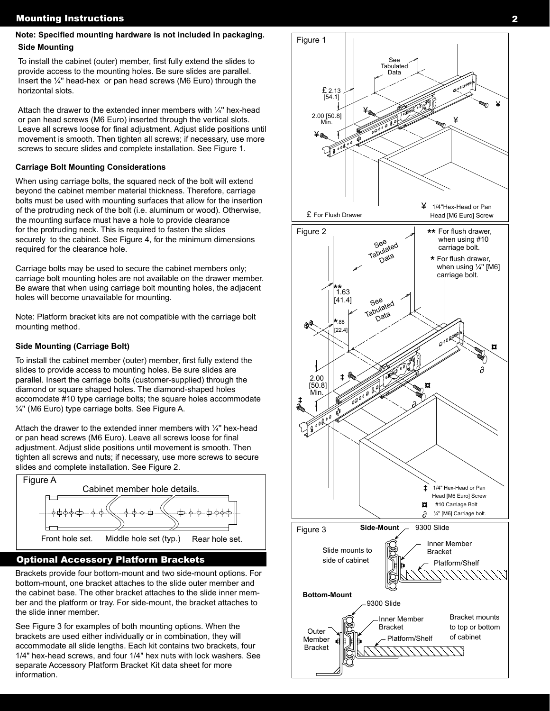# Note: Specified mounting hardware is not included in packaging.<br>Side Mounting **Figure 1**

To install the cabinet (outer) member, first fully extend the slides to provide access to the mounting holes. Be sure slides are parallel. Insert the ¼'' head-hex or pan head screws (M6 Euro) through the horizontal slots.

Attach the drawer to the extended inner members with  $\frac{1}{4}$ " hex-head or pan head screws (M6 Euro) inserted through the vertical slots. Leave all screws loose for final adjustment. Adjust slide positions until movement is smooth. Then tighten all screws; if necessary, use more screws to secure slides and complete installation. See Figure 1.

#### **Carriage Bolt Mounting Considerations**

When using carriage bolts, the squared neck of the bolt will extend beyond the cabinet member material thickness. Therefore, carriage bolts must be used with mounting surfaces that allow for the insertion of the protruding neck of the bolt (i.e. aluminum or wood). Otherwise, the mounting surface must have a hole to provide clearance for the protruding neck. This is required to fasten the slides securely to the cabinet. See Figure 4, for the minimum dimensions required for the clearance hole.

Carriage bolts may be used to secure the cabinet members only; carriage bolt mounting holes are not available on the drawer member. Be aware that when using carriage bolt mounting holes, the adjacent holes will become unavailable for mounting.

Note: Platform bracket kits are not compatible with the carriage bolt mounting method.

#### **Side Mounting (Carriage Bolt)**

To install the cabinet member (outer) member, first fully extend the slides to provide access to mounting holes. Be sure slides are parallel. Insert the carriage bolts (customer-supplied) through the diamond or square shaped holes. The diamond-shaped holes accomodate #10 type carriage bolts; the square holes accommodate ¼'' (M6 Euro) type carriage bolts. See Figure A.

Attach the drawer to the extended inner members with  $\frac{1}{4}$ " hex-head or pan head screws (M6 Euro). Leave all screws loose for final adjustment. Adjust slide positions until movement is smooth. Then tighten all screws and nuts; if necessary, use more screws to secure slides and complete installation. See Figure 2.



#### Optional Accessory Platform Brackets

Brackets provide four bottom-mount and two side-mount options. For bottom-mount, one bracket attaches to the slide outer member and the cabinet base. The other bracket attaches to the slide inner member and the platform or tray. For side-mount, the bracket attaches to the slide inner member.

See Figure 3 for examples of both mounting options. When the brackets are used either individually or in combination, they will accommodate all slide lengths. Each kit contains two brackets, four 1/4" hex-head screws, and four 1/4" hex nuts with lock washers. See separate Accessory Platform Bracket Kit data sheet for more information.